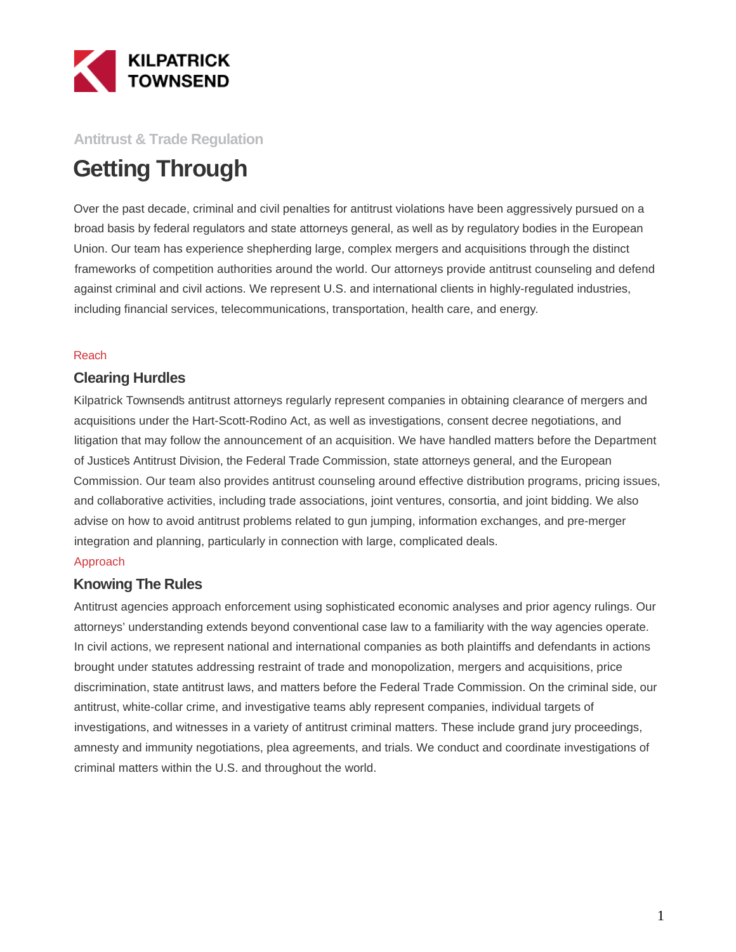

## **Antitrust & Trade Regulation**

# **Getting Through**

Over the past decade, criminal and civil penalties for antitrust violations have been aggressively pursued on a broad basis by federal regulators and state attorneys general, as well as by regulatory bodies in the European Union. Our team has experience shepherding large, complex mergers and acquisitions through the distinct frameworks of competition authorities around the world. Our attorneys provide antitrust counseling and defend against criminal and civil actions. We represent U.S. and international clients in highly-regulated industries, including financial services, telecommunications, transportation, health care, and energy.

#### Reach

### **Clearing Hurdles**

Kilpatrick Townsend's antitrust attorneys regularly represent companies in obtaining clearance of mergers and acquisitions under the Hart-Scott-Rodino Act, as well as investigations, consent decree negotiations, and litigation that may follow the announcement of an acquisition. We have handled matters before the Department of Justice's Antitrust Division, the Federal Trade Commission, state attorneys general, and the European Commission. Our team also provides antitrust counseling around effective distribution programs, pricing issues, and collaborative activities, including trade associations, joint ventures, consortia, and joint bidding. We also advise on how to avoid antitrust problems related to gun jumping, information exchanges, and pre-merger integration and planning, particularly in connection with large, complicated deals.

#### Approach

## **Knowing The Rules**

Antitrust agencies approach enforcement using sophisticated economic analyses and prior agency rulings. Our attorneys' understanding extends beyond conventional case law to a familiarity with the way agencies operate. In civil actions, we represent national and international companies as both plaintiffs and defendants in actions brought under statutes addressing restraint of trade and monopolization, mergers and acquisitions, price discrimination, state antitrust laws, and matters before the Federal Trade Commission. On the criminal side, our antitrust, white-collar crime, and investigative teams ably represent companies, individual targets of investigations, and witnesses in a variety of antitrust criminal matters. These include grand jury proceedings, amnesty and immunity negotiations, plea agreements, and trials. We conduct and coordinate investigations of criminal matters within the U.S. and throughout the world.